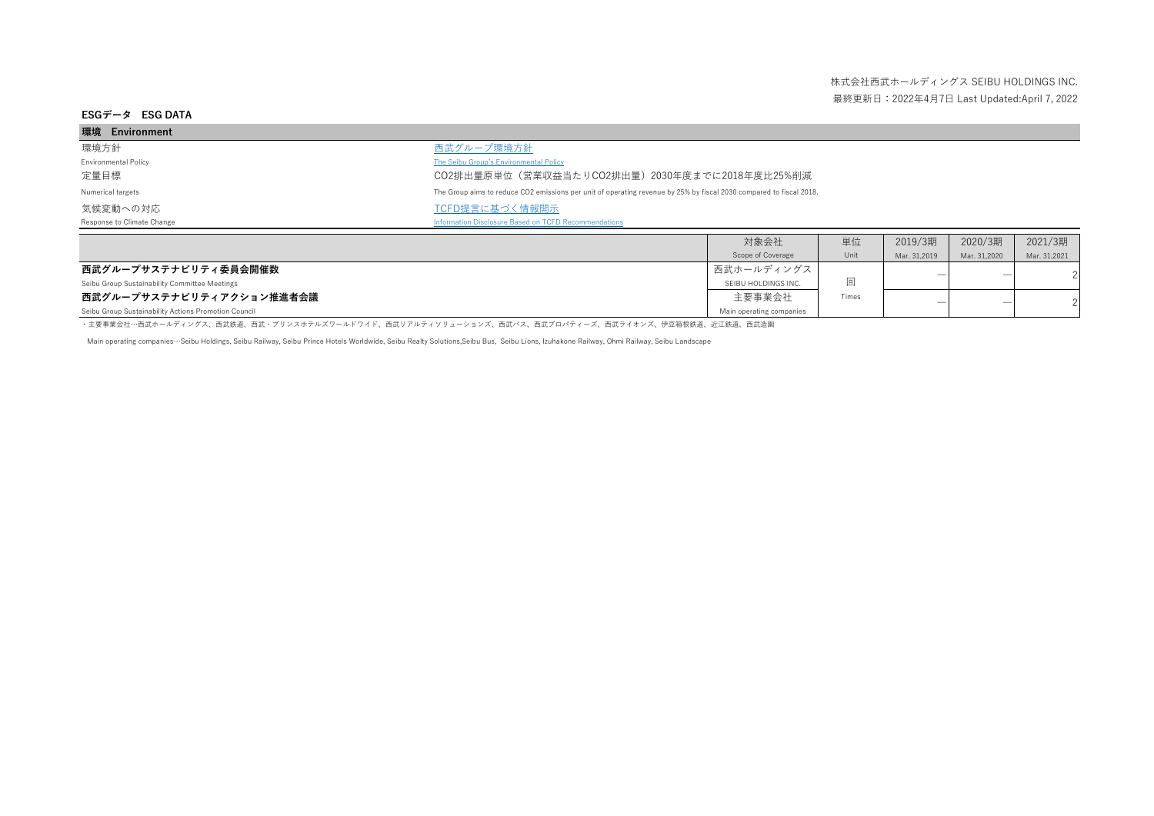| 環境 Environment              |                                                                                                                     |      |    |         |         |         |
|-----------------------------|---------------------------------------------------------------------------------------------------------------------|------|----|---------|---------|---------|
| 環境方針                        | 西武グループ環境方針                                                                                                          |      |    |         |         |         |
| <b>Environmental Policy</b> | The Seibu Group's Environmental Policy                                                                              |      |    |         |         |         |
| 定量目標                        | CO2排出量原単位(営業収益当たりCO2排出量)2030年度までに2018年度比25%削減                                                                       |      |    |         |         |         |
| Numerical targets           | The Group aims to reduce CO2 emissions per unit of operating revenue by 25% by fiscal 2030 compared to fiscal 2018. |      |    |         |         |         |
| 気候変動への対応                    | TCFD提言に基づく情報開示                                                                                                      |      |    |         |         |         |
| Response to Climate Change  | Information Disclosure Based on TCFD Recommendations                                                                |      |    |         |         |         |
|                             |                                                                                                                     | 対象会社 | 単位 | 2019/3期 | 2020/3期 | 2021/3期 |

|                                                      | Scope of Coverage        | Unit  | Mar. 31.2019 | Mar. 31,2020 | Mar. 31.2021 |  |
|------------------------------------------------------|--------------------------|-------|--------------|--------------|--------------|--|
| 西武グループサステナビリティ委員会開催数                                 | ┃西武ホールディングス ┃            |       |              |              |              |  |
| Seibu Group Sustainability Committee Meetings        | SEIBU HOLDINGS INC.      |       |              |              |              |  |
| 西武グループサステナビリティアクション推進者会議                             | 主要事業会社                   | Times |              |              |              |  |
| Seibu Group Sustainability Actions Promotion Council | Main operating companies |       |              |              |              |  |

・主要事業会社…西武ホールディングス、西武鉄道、西武・プリンスホテルズワールドワイド、西武リアルティソリューションズ、西武バス、西武プロパティーズ、西武ライオンズ、伊豆箱根鉄道、近江鉄道、西武造園

Main operating companies…Seibu Holdings, Seibu Railway, Seibu Prince Hotels Worldwide, Seibu Realty Solutions,Seibu Bus, Seibu Lions, Izuhakone Railway, Ohmi Railway, Seibu Landscape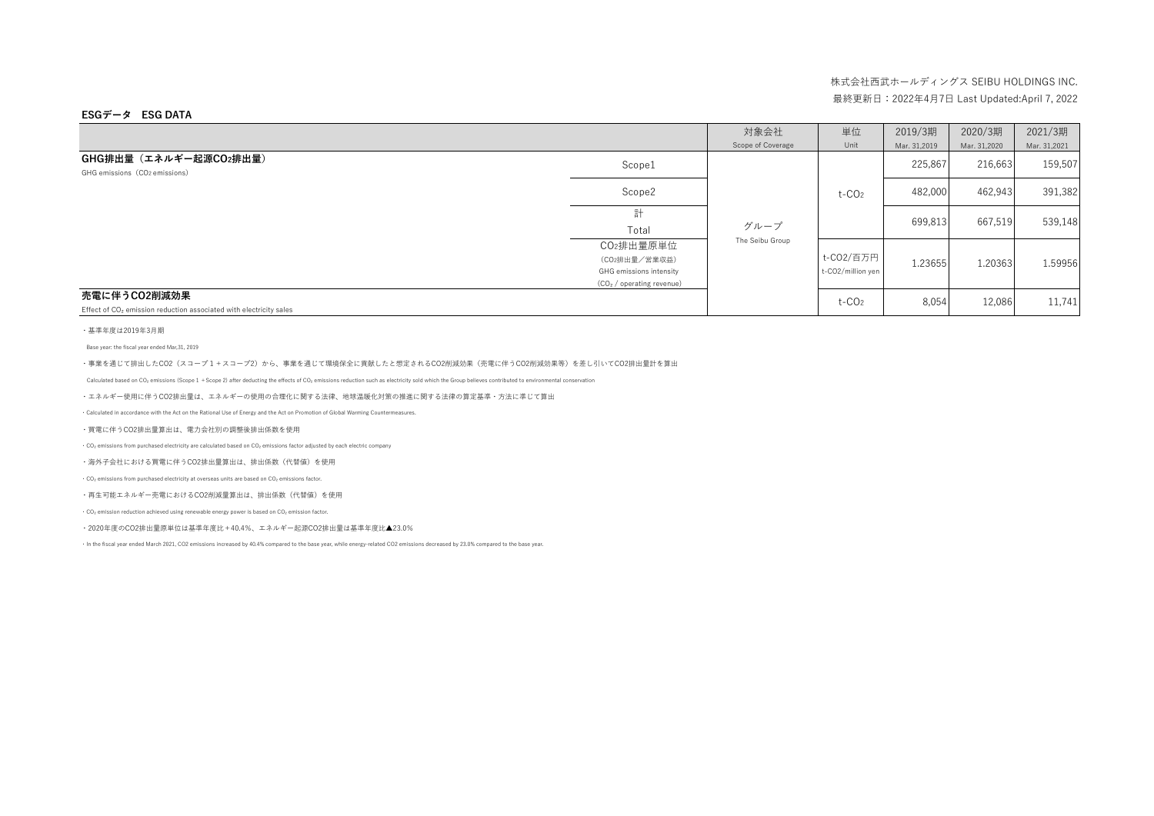### **ESGデータ ESG DATA**

|                                                                                                |                                                                                                | 対象会社              | 単位                             | 2019/3期      | 2020/3期      | 2021/3期      |
|------------------------------------------------------------------------------------------------|------------------------------------------------------------------------------------------------|-------------------|--------------------------------|--------------|--------------|--------------|
|                                                                                                |                                                                                                | Scope of Coverage | Unit                           | Mar. 31,2019 | Mar. 31,2020 | Mar. 31,2021 |
| GHG排出量(エネルギー起源CO2排出量)<br>GHG emissions (CO2 emissions)                                         | Scope1                                                                                         |                   |                                | 225,867      | 216,663      | 159,507      |
|                                                                                                | Scope2                                                                                         |                   | $t$ -CO <sub>2</sub>           | 482,000      | 462,943      | 391,382      |
|                                                                                                | 計<br>Total                                                                                     | グループ              |                                | 699,813      | 667,519      | 539,148      |
|                                                                                                | CO2排出量原単位<br>(CO2排出量/営業収益)<br>GHG emissions intensity<br>(CO <sub>2</sub> / operating revenue) | The Seibu Group   | t-CO2/百万円<br>t-CO2/million yen | 1.23655      | 1.20363      | 1.59956      |
| 売電に伴うCO2削減効果<br>Effect of CO <sub>2</sub> emission reduction associated with electricity sales |                                                                                                |                   | $t$ -CO <sub>2</sub>           | 8,054        | 12,086       | 11,741       |

#### ・基準年度は2019年3月期

Base year: the fiscal year ended Mar,31, 2019

・事業を通じて排出したCO2(スコープ1+スコープ2)から、事業を通じて環境保全に貢献したと想定されるCO2削減効果(売電に伴うCO2削減効果等)を差し引いてCO2排出量計を算出

Calculated based on CO<sub>2</sub> emissions (Scope 1 + Scope 2) after deducting the effects of CO<sub>2</sub> emissions reduction such as electricity sold which the Group believes contributed to environmental conservation

・エネルギー使用に伴うCO2排出量は、エネルギーの使用の合理化に関する法律、地球温暖化対策の推進に関する法律の算定基準・方法に準じて算出

・Calculated in accordance with the Act on the Rational Use of Energy and the Act on Promotion of Global Warming Countermeasures.

#### ・買電に伴うCO2排出量算出は、電力会社別の調整後排出係数を使用

・CO₂ emissions from purchased electricity are calculated based on CO₂ emissions factor adjusted by each electric company

#### ・海外子会社における買電に伴うCO2排出量算出は、排出係数(代替値)を使用

・CO₂ emissions from purchased electricity at overseas units are based on CO₂ emissions factor.

・再生可能エネルギー売電におけるCO2削減量算出は、排出係数(代替値)を使用

・CO₂ emission reduction achieved using renewable energy power is based on CO₂ emission factor.

・2020年度のCO2排出量原単位は基準年度比+40.4%、エネルギー起源CO2排出量は基準年度比▲23.0%

・In the fiscal year ended March 2021, CO2 emissions increased by 40.4% compared to the base year, while energy-related CO2 emissions decreased by 23.0% compared to the base year.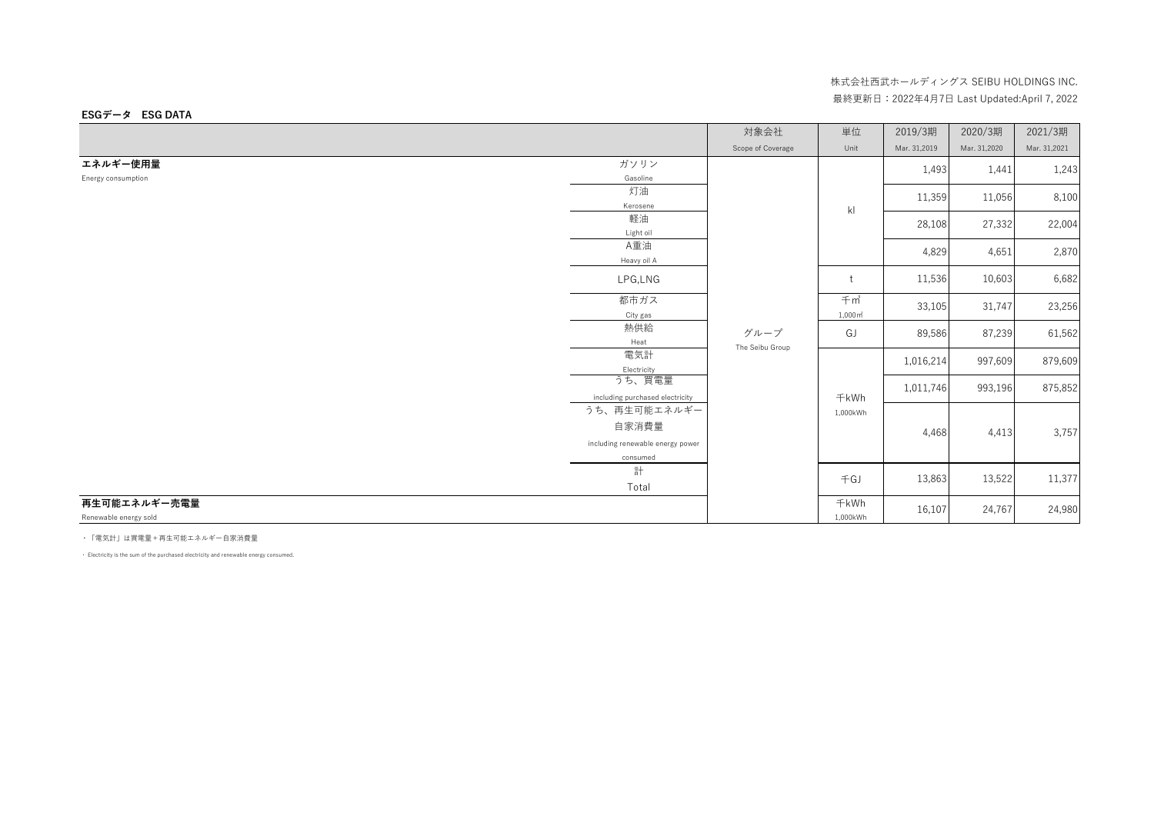#### 対象会社 │ 単位 │ 2019/3期 │ 2020/3期 │ 2021/3期 Scope of Coverage Unit Mar. 31,2019 Mar. 31,2020 Mar. 31,2021 **エネルギー使用量** Energy consumption ガソリン Gasoline 1,493 1,441 1,243 灯油 Kerosene 11,359 11,056 8,100 軽油 Light oil 28,108 27,332 22,004 A重油 Heavy oil A 4,829 4,651 2,870 LPG,LNG t 11,536 10,603 6,682 都市ガス City gas 千㎥ 1,000㎡ 33,105 31,747 23,256 熱供給 Heat GJ 89,586 87,239 61,562 電気計 Electricity 1,016,214 997,609 879,609 うち、買電量 including purchased electricity 1,011,746 993,196 875,852 うち、再生可能エネルギー 自家消費量 including renewable energy power consumed 4,468 4,413 3,757 計 Total  $\pm$ GJ 13,863 13,522 11,377 **再生可能エネルギー売電量** Renewable energy sold 千kWh 1,000kWh 16,107 24,767 24,980 グループ The Seibu Group kl 千kWh 1,000kWh

・「電気計」は買電量+再生可能エネルギー自家消費量

**ESGデータ ESG DATA**

・ Electricity is the sum of the purchased electricity and renewable energy consumed.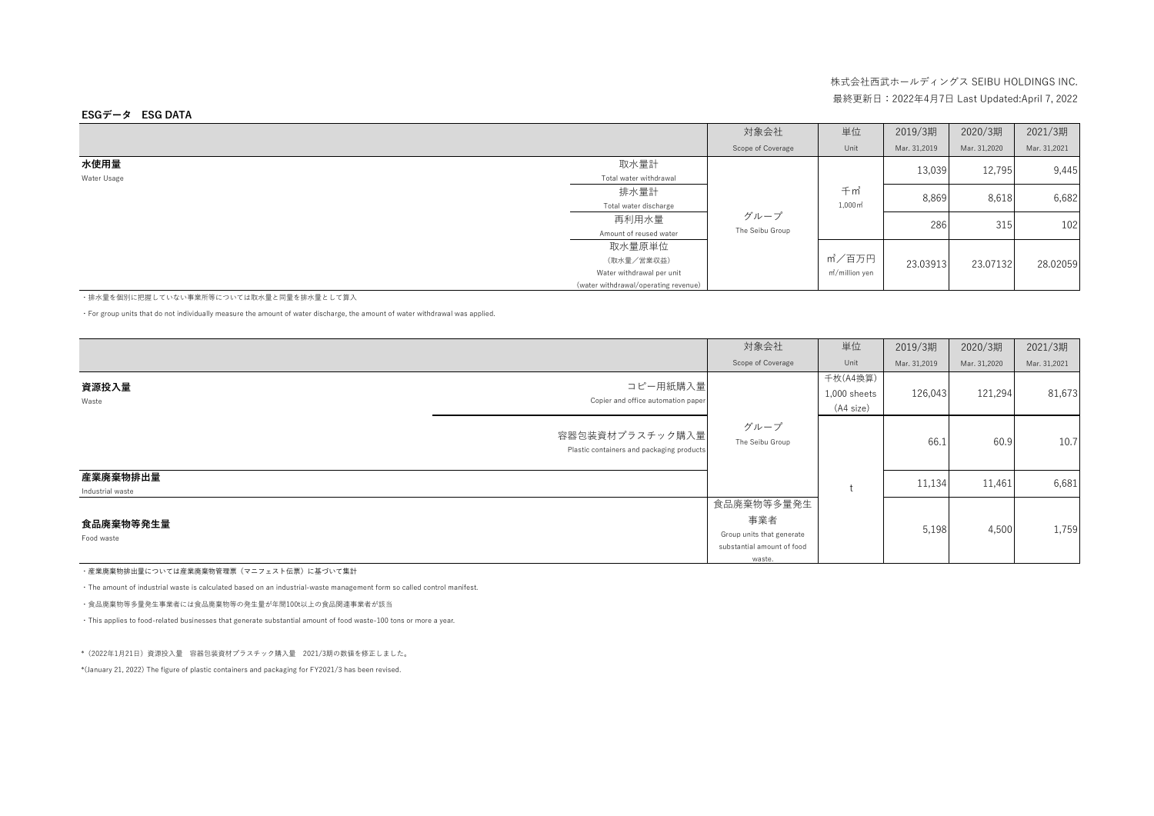### **ESGデータ ESG DATA**

|             |                                      | 対象会社              | 単位                          | 2019/3期      | 2020/3期      | 2021/3期      |
|-------------|--------------------------------------|-------------------|-----------------------------|--------------|--------------|--------------|
|             |                                      | Scope of Coverage | Unit                        | Mar. 31.2019 | Mar. 31,2020 | Mar. 31,2021 |
| 水使用量        | 取水量計                                 |                   |                             | 13,039       | 12,795       | 9,445        |
| Water Usage | Total water withdrawal               |                   |                             |              |              |              |
|             | 排水量計                                 |                   | 千m                          | 8,869        | 8,618        | 6,682        |
|             | Total water discharge                |                   | $1,000 \,\mathrm{m}^2$      |              |              |              |
|             | 再利用水量                                | グループ              |                             | 286          | 315          | 102          |
|             | Amount of reused water               | The Seibu Group   |                             |              |              |              |
|             | 取水量原単位                               |                   |                             |              |              |              |
|             | (取水量/営業収益)                           |                   | m'/百万円                      | 23.03913     | 23.07132     | 28.02059     |
|             | Water withdrawal per unit            |                   | m <sup>2</sup> /million yen |              |              |              |
|             | (water withdrawal/operating revenue) |                   |                             |              |              |              |

・排水量を個別に把握していない事業所等については取水量と同量を排水量として算入

・For group units that do not individually measure the amount of water discharge, the amount of water withdrawal was applied.

|                                                                  | 対象会社                                                                                   | 単位                                      | 2019/3期      | 2020/3期      | 2021/3期      |
|------------------------------------------------------------------|----------------------------------------------------------------------------------------|-----------------------------------------|--------------|--------------|--------------|
|                                                                  | Scope of Coverage                                                                      | Unit                                    | Mar. 31,2019 | Mar. 31,2020 | Mar. 31,2021 |
| コピー用紙購入量<br>資源投入量<br>Copier and office automation paper<br>Waste |                                                                                        | 千枚(A4換算)<br>$1,000$ sheets<br>(A4 size) | 126,043      | 121,294      | 81,673       |
| 容器包装資材プラスチック購入量 <br>Plastic containers and packaging products    | グループ<br>The Seibu Group                                                                |                                         | 66.1         | 60.9         | 10.7         |
| 産業廃棄物排出量<br>Industrial waste                                     |                                                                                        |                                         | 11,134       | 11,461       | 6,681        |
| 食品廃棄物等発生量<br>Food waste                                          | 食品廃棄物等多量発生<br>事業者<br>Group units that generate<br>substantial amount of food<br>waste. |                                         | 5,198        | 4,500        | 1,759        |

・産業廃棄物排出量については産業廃棄物管理票(マニフェスト伝票)に基づいて集計

・The amount of industrial waste is calculated based on an industrial-waste management form so called control manifest.

・食品廃棄物等多量発生事業者には食品廃棄物等の発生量が年間100t以上の食品関連事業者が該当

・This applies to food-related businesses that generate substantial amount of food waste-100 tons or more a year.

\*(2022年1月21日)資源投入量 容器包装資材プラスチック購入量 2021/3期の数値を修正しました。

\*(January 21, 2022) The figure of plastic containers and packaging for FY2021/3 has been revised.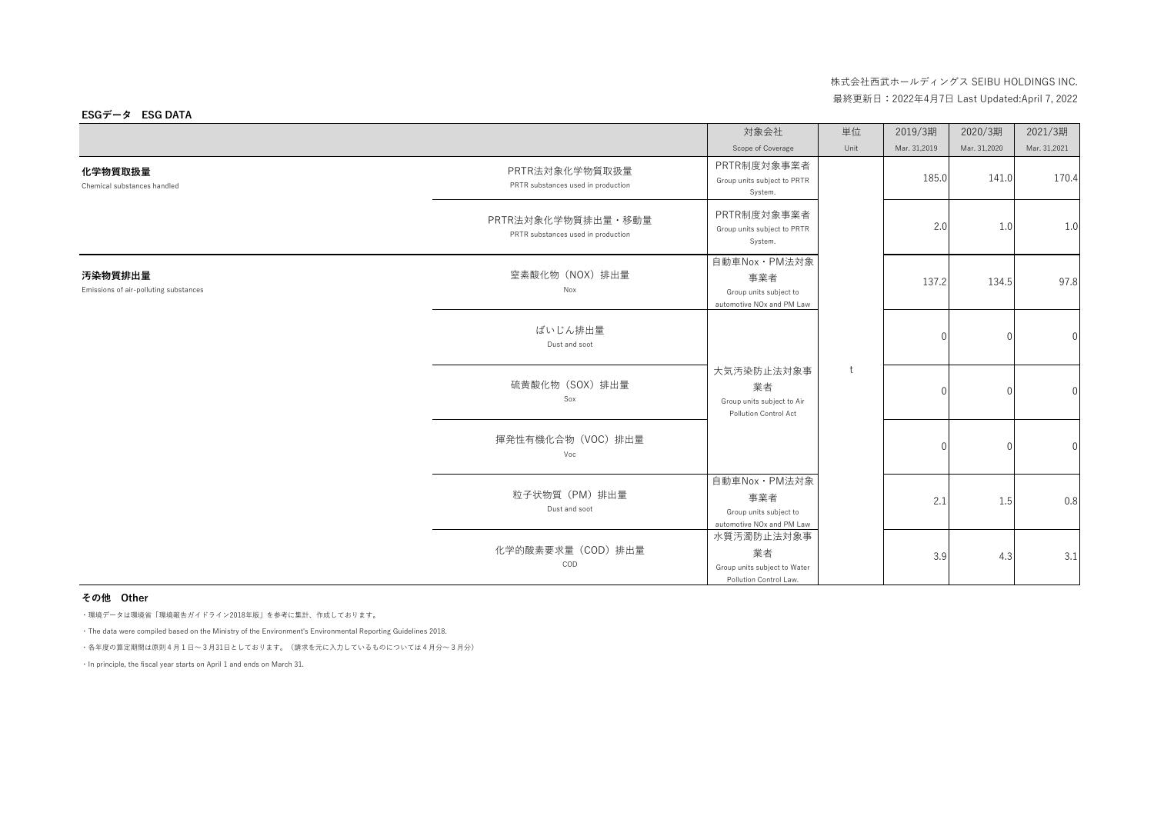|                                                  |                                                          | 対象会社                                                                                     | 単位   | 2019/3期      | 2020/3期      | 2021/3期          |
|--------------------------------------------------|----------------------------------------------------------|------------------------------------------------------------------------------------------|------|--------------|--------------|------------------|
|                                                  |                                                          | Scope of Coverage                                                                        | Unit | Mar. 31,2019 | Mar. 31,2020 | Mar. 31,2021     |
| 化学物質取扱量<br>Chemical substances handled           | PRTR法対象化学物質取扱量<br>PRTR substances used in production     | PRTR制度対象事業者<br>Group units subject to PRTR<br>System.                                    |      | 185.0        | 141.0        | 170.4            |
|                                                  | PRTR法対象化学物質排出量・移動量<br>PRTR substances used in production | PRTR制度対象事業者<br>Group units subject to PRTR<br>System.                                    |      | 2.0          | 1.0          | 1.0              |
| 汚染物質排出量<br>Emissions of air-polluting substances | 窒素酸化物 (NOX) 排出量<br>Nox                                   | 自動車Nox · PM法対象<br>事業者<br>Group units subject to<br>automotive NO <sub>x</sub> and PM Law |      | 137.2        | 134.5        | 97.8             |
|                                                  | ばいじん排出量<br>Dust and soot                                 |                                                                                          |      |              | $\Omega$     | $\mathbf{0}$     |
|                                                  | 硫黄酸化物 (SOX) 排出量<br>Sox                                   | 大気汚染防止法対象事<br>業者<br>Group units subject to Air<br>Pollution Control Act                  | t    |              | $\Omega$     | $\boldsymbol{0}$ |
|                                                  | 揮発性有機化合物 (VOC) 排出量<br>Voc                                |                                                                                          |      |              | $\cap$       | $\boldsymbol{0}$ |
|                                                  | 粒子状物質 (PM) 排出量<br>Dust and soot                          | 自動車Nox · PM法対象<br>事業者<br>Group units subject to<br>automotive NO <sub>x</sub> and PM Law |      | 2.1          | 1.5          | 0.8              |
|                                                  | 化学的酸素要求量 (COD) 排出量<br>COD                                | 水質汚濁防止法対象事<br>業者<br>Group units subject to Water<br>Pollution Control Law.               |      | 3.9          | 4.3          | 3.1              |

### **その他 Other**

・環境データは環境省「環境報告ガイドライン2018年版」を参考に集計、作成しております。

・The data were compiled based on the Ministry of the Environment's Environmental Reporting Guidelines 2018.

・各年度の算定期間は原則4月1日~3月31日としております。(請求を元に入力しているものについては4月分~3月分)

・In principle, the fiscal year starts on April 1 and ends on March 31.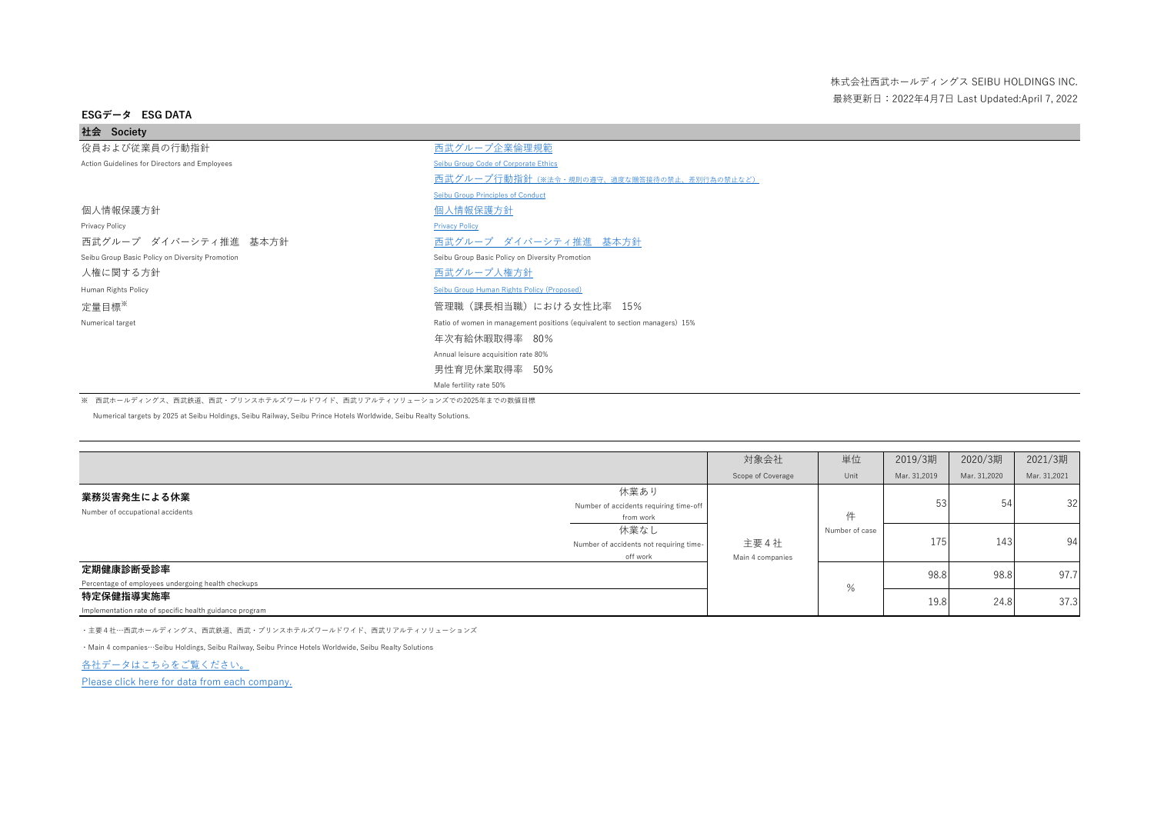| 社会 Society                                      |                                                                             |
|-------------------------------------------------|-----------------------------------------------------------------------------|
| 役員および従業員の行動指針                                   | 西武グループ企業倫理規範                                                                |
| Action Guidelines for Directors and Employees   | Seibu Group Code of Corporate Ethics                                        |
|                                                 | <b>西武グループ行動指針 (※法令·規則の遵守、過度な贈答接待の禁止、差別行為の禁止など)</b>                          |
|                                                 | <b>Seibu Group Principles of Conduct</b>                                    |
| 個人情報保護方針                                        | 個人情報保護方針                                                                    |
| Privacy Policy                                  | <b>Privacy Policy</b>                                                       |
| 西武グループ ダイバーシティ推進 基本方針                           | 西武グループ ダイバーシティ推進 基本方針                                                       |
| Seibu Group Basic Policy on Diversity Promotion | Seibu Group Basic Policy on Diversity Promotion                             |
| 人権に関する方針                                        | 西武グループ人権方針                                                                  |
| Human Rights Policy                             | Seibu Group Human Rights Policy (Proposed)                                  |
| 定量目標*                                           | 管理職(課長相当職)における女性比率 15%                                                      |
| Numerical target                                | Ratio of women in management positions (equivalent to section managers) 15% |
|                                                 | 年次有給休暇取得率 80%                                                               |
|                                                 | Annual leisure acquisition rate 80%                                         |
|                                                 | 男性育児休業取得率 50%                                                               |
|                                                 | Male fertility rate 50%                                                     |

※ 西武ホールディングス、西武鉄道、西武・プリンスホテルズワールドワイド、西武リアルティソリューションズでの2025年までの数値目標

Numerical targets by 2025 at Seibu Holdings, Seibu Railway, Seibu Prince Hotels Worldwide, Seibu Realty Solutions.

|                                                                      |                                                             | 対象会社                     | 単位             | 2019/3期      | 2020/3期      | 2021/3期      |
|----------------------------------------------------------------------|-------------------------------------------------------------|--------------------------|----------------|--------------|--------------|--------------|
|                                                                      |                                                             | Scope of Coverage        | Unit           | Mar. 31,2019 | Mar. 31,2020 | Mar. 31,2021 |
| 業務災害発生による休業<br>Number of occupational accidents                      | 休業あり<br>Number of accidents requiring time-off<br>from work |                          | 件              | 53           | 54           | 32           |
|                                                                      | 休業なし<br>Number of accidents not requiring time-<br>off work | 主要4社<br>Main 4 companies | Number of case | 175          | 143          | 94           |
| 定期健康診断受診率                                                            |                                                             |                          |                | 98.8         | 98.8         | 97.7         |
| Percentage of employees undergoing health checkups                   |                                                             |                          | %              |              |              |              |
| 特定保健指導実施率<br>Implementation rate of specific health guidance program |                                                             |                          |                | 19.8         | 24.8         | 37.3         |

・主要4社…西武ホールディングス、西武鉄道、西武・プリンスホテルズワールドワイド、西武リアルティソリューションズ

・Main 4 companies…Seibu Holdings, Seibu Railway, Seibu Prince Hotels Worldwide, Seibu Realty Solutions

[各社データはこちらをご覧ください。](https://www.seibuholdings.co.jp/diversity/Data/index.html)

[Please click here for data from each company.](https://www.seibuholdings.co.jp/diversity/Data/index.html)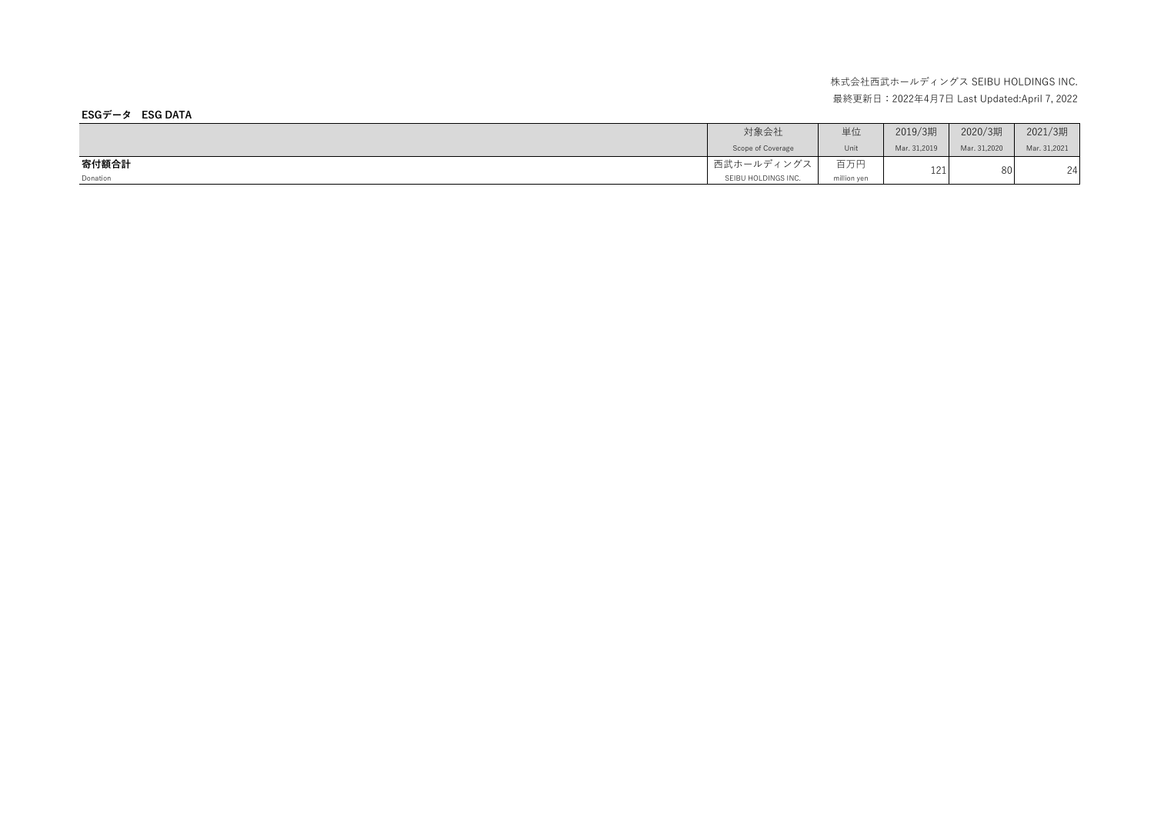|          | 対象会社                | 単位          | 2019/3期      | 2020/3期      | 2021/3期      |
|----------|---------------------|-------------|--------------|--------------|--------------|
|          | Scope of Coverage   | Unit        | Mar. 31,2019 | Mar. 31,2020 | Mar. 31,2021 |
| 寄付額合計    | 西武ホールディングス          | 百万円         | 171          | 80           | 24           |
| Donation | SEIBU HOLDINGS INC. | million yen |              |              |              |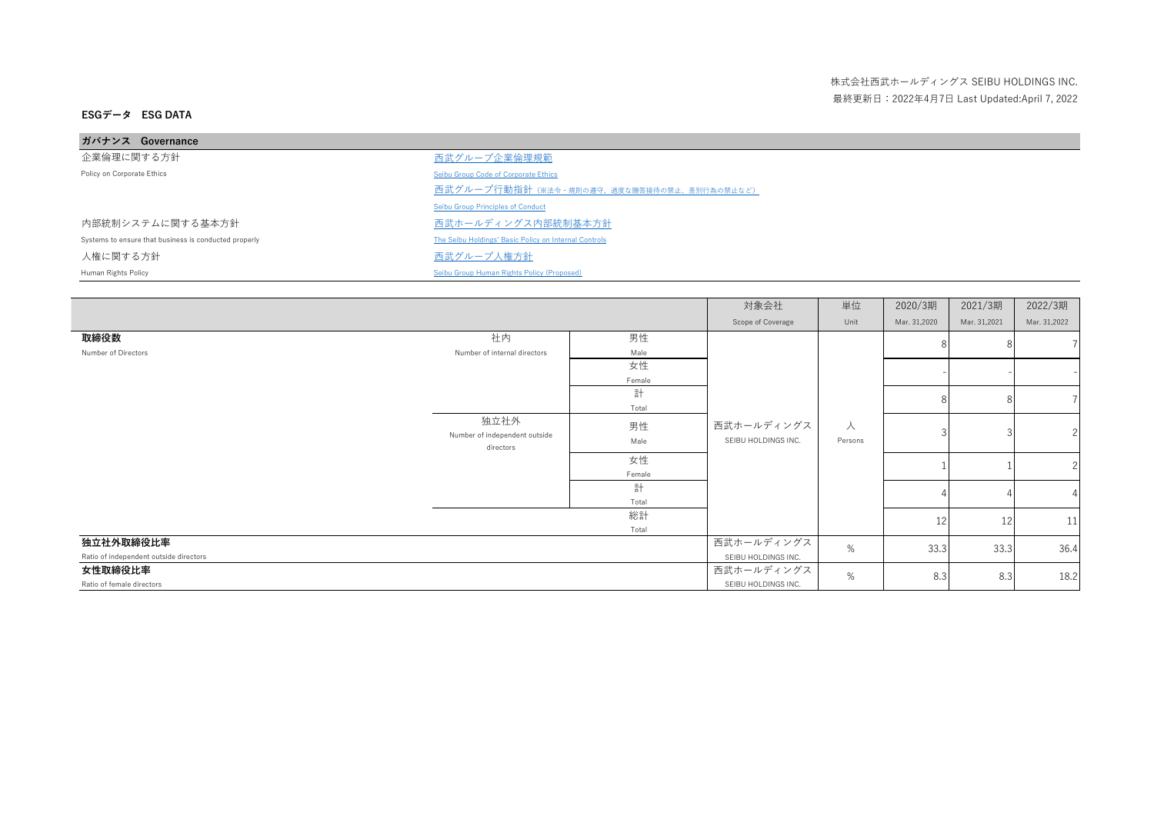| ガバナンス Governance                                      |                                                       |
|-------------------------------------------------------|-------------------------------------------------------|
| 企業倫理に関する方針                                            | 西武グループ企業倫理規範                                          |
| Policy on Corporate Ethics                            | Seibu Group Code of Corporate Ethics                  |
|                                                       | 西武グループ行動指針 (※法令・規則の遵守、過度な贈答接待の禁止、差別行為の禁止など)           |
|                                                       | Seibu Group Principles of Conduct                     |
| 内部統制システムに関する基本方針                                      | 西武ホールディングス内部統制基本方針                                    |
| Systems to ensure that business is conducted properly | The Seibu Holdings' Basic Policy on Internal Controls |
| 人権に関する方針                                              | 西武グループ人権方針                                            |
| Human Rights Policy                                   | Seibu Group Human Rights Policy (Proposed)            |

|                                        |                               |        | 対象会社                | 単位      | 2020/3期      | 2021/3期      | 2022/3期       |
|----------------------------------------|-------------------------------|--------|---------------------|---------|--------------|--------------|---------------|
|                                        |                               |        | Scope of Coverage   | Unit    | Mar. 31,2020 | Mar. 31,2021 | Mar. 31,2022  |
| 取締役数                                   | 社内                            | 男性     |                     |         |              |              |               |
| Number of Directors                    | Number of internal directors  | Male   |                     |         |              |              |               |
|                                        |                               | 女性     |                     |         |              |              |               |
|                                        |                               | Female |                     |         |              |              |               |
|                                        |                               | 計      |                     |         | 8            |              |               |
|                                        |                               | Total  |                     |         |              |              |               |
|                                        | 独立社外                          | 男性     | 西武ホールディングス          | 人       |              |              |               |
|                                        | Number of independent outside | Male   | SEIBU HOLDINGS INC. | Persons |              |              |               |
|                                        | directors                     |        |                     |         |              |              |               |
|                                        |                               | 女性     |                     |         |              |              | $\mathcal{P}$ |
|                                        |                               | Female |                     |         |              |              |               |
|                                        |                               | 計      |                     |         |              |              |               |
|                                        |                               | Total  |                     |         |              |              |               |
|                                        |                               | 総計     |                     |         | 12           | 12           | 11            |
|                                        |                               | Total  |                     |         |              |              |               |
| 独立社外取締役比率                              |                               |        | 西武ホールディングス          | %       | 33.3         | 33.3         | 36.4          |
| Ratio of independent outside directors |                               |        | SEIBU HOLDINGS INC. |         |              |              |               |
| 女性取締役比率                                |                               |        | 西武ホールディングス          | %       | 8.3          | 8.3          | 18.2          |
| Ratio of female directors              |                               |        | SEIBU HOLDINGS INC. |         |              |              |               |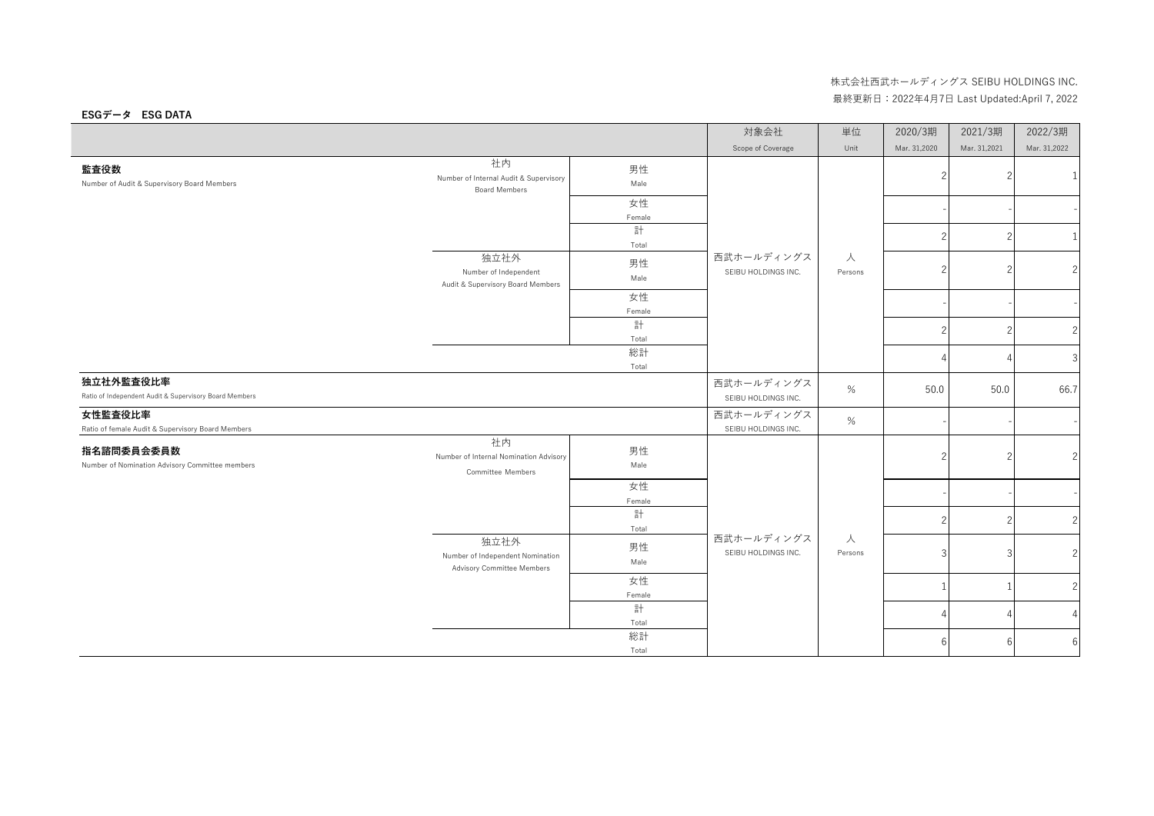|                                                                     |                                                                          |              | 対象会社                              | 単位           | 2020/3期        | 2021/3期      | 2022/3期        |
|---------------------------------------------------------------------|--------------------------------------------------------------------------|--------------|-----------------------------------|--------------|----------------|--------------|----------------|
|                                                                     |                                                                          |              | Scope of Coverage                 | Unit         | Mar. 31,2020   | Mar. 31,2021 | Mar. 31,2022   |
| 監査役数<br>Number of Audit & Supervisory Board Members                 | 社内<br>Number of Internal Audit & Supervisory<br><b>Board Members</b>     | 男性<br>Male   |                                   |              | 2              |              | 1              |
|                                                                     |                                                                          | 女性<br>Female |                                   |              |                |              |                |
|                                                                     |                                                                          | 計<br>Total   |                                   |              | $\overline{2}$ |              | 1              |
|                                                                     | 独立社外<br>Number of Independent<br>Audit & Supervisory Board Members       | 男性<br>Male   | 西武ホールディングス<br>SEIBU HOLDINGS INC. | 人<br>Persons | $\overline{2}$ |              | $\overline{2}$ |
|                                                                     |                                                                          | 女性<br>Female |                                   |              |                |              |                |
|                                                                     |                                                                          | 計<br>Total   |                                   |              | $\overline{c}$ |              | 2              |
|                                                                     |                                                                          | 総計<br>Total  |                                   |              |                |              | 3              |
| 独立社外監査役比率<br>Ratio of Independent Audit & Supervisory Board Members |                                                                          |              | 西武ホールディングス<br>SEIBU HOLDINGS INC. | $\%$         | 50.0           | 50.0         | 66.7           |
| 女性監査役比率<br>Ratio of female Audit & Supervisory Board Members        |                                                                          |              | 西武ホールディングス<br>SEIBU HOLDINGS INC. | $\%$         |                |              |                |
| 指名諮問委員会委員数<br>Number of Nomination Advisory Committee members       | 社内<br>Number of Internal Nomination Advisory<br><b>Committee Members</b> | 男性<br>Male   |                                   |              | 2              |              | $\overline{c}$ |
|                                                                     |                                                                          | 女性<br>Female |                                   |              |                |              |                |
|                                                                     |                                                                          | 計<br>Total   |                                   |              | $\overline{c}$ |              | $\overline{2}$ |
|                                                                     | 独立社外<br>Number of Independent Nomination<br>Advisory Committee Members   | 男性<br>Male   | 西武ホールディングス<br>SEIBU HOLDINGS INC. | 人<br>Persons | 3              |              | 2              |
|                                                                     |                                                                          | 女性<br>Female |                                   |              |                |              | 2              |
|                                                                     |                                                                          | 計<br>Total   |                                   |              | 4              |              | $\overline{4}$ |
|                                                                     |                                                                          | 総計<br>Total  |                                   |              | 6              | 6            | 6              |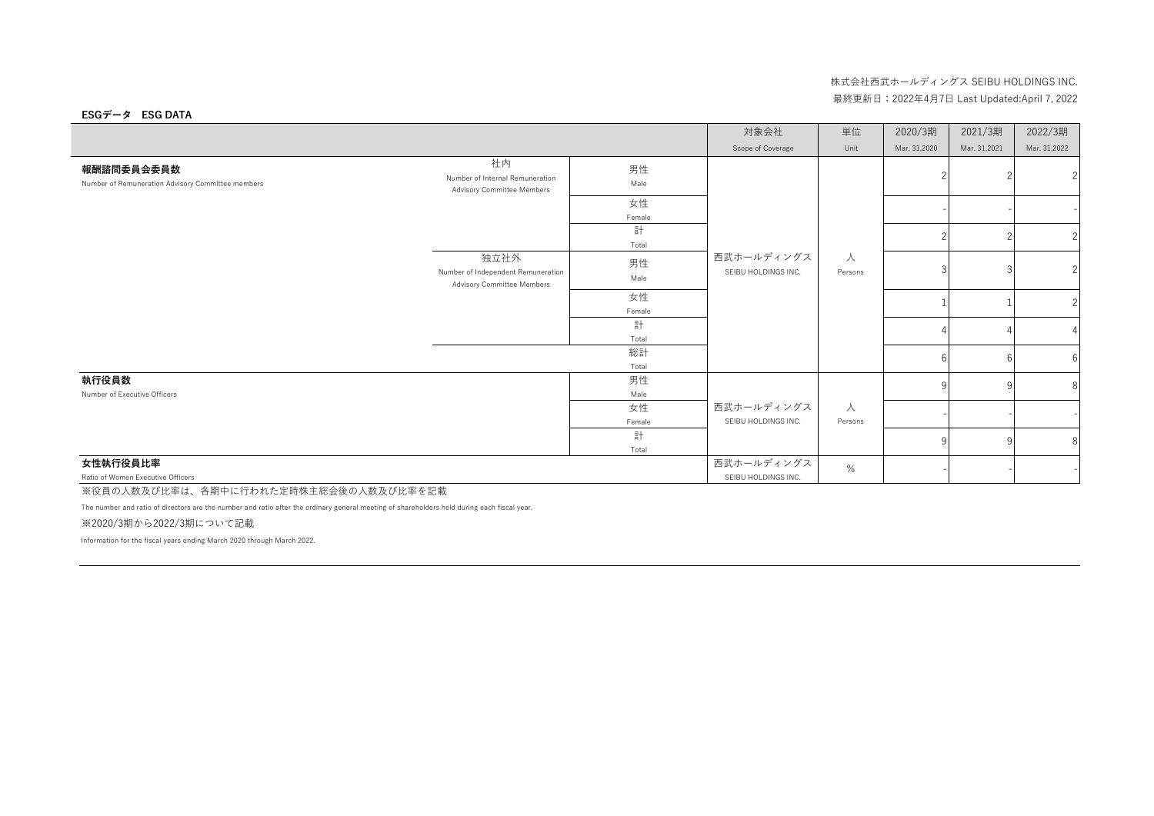### **ESGデータ ESG DATA**

|                                                                 |                                                                          |              | 対象会社                              | 単位           | 2020/3期      | 2021/3期      | 2022/3期        |
|-----------------------------------------------------------------|--------------------------------------------------------------------------|--------------|-----------------------------------|--------------|--------------|--------------|----------------|
|                                                                 |                                                                          |              | Scope of Coverage                 | Unit         | Mar. 31,2020 | Mar. 31,2021 | Mar. 31,2022   |
| 報酬諮問委員会委員数<br>Number of Remuneration Advisory Committee members | 社内<br>Number of Internal Remuneration<br>Advisory Committee Members      | 男性<br>Male   |                                   |              |              |              | 2              |
|                                                                 |                                                                          | 女性<br>Female |                                   |              |              |              |                |
|                                                                 |                                                                          | 計<br>Total   |                                   |              |              |              | $\overline{c}$ |
|                                                                 | 独立社外<br>Number of Independent Remuneration<br>Advisory Committee Members | 男性<br>Male   | 西武ホールディングス<br>SEIBU HOLDINGS INC. | 人<br>Persons |              |              | 2              |
|                                                                 |                                                                          | 女性<br>Female |                                   |              |              |              | $\overline{c}$ |
|                                                                 |                                                                          | 計<br>Total   |                                   |              |              |              |                |
|                                                                 |                                                                          | 総計<br>Total  |                                   |              |              |              | 6              |
| 執行役員数<br>Number of Executive Officers                           |                                                                          | 男性<br>Male   |                                   |              |              |              | 8              |
|                                                                 |                                                                          | 女性<br>Female | 西武ホールディングス<br>SEIBU HOLDINGS INC. | 人<br>Persons |              |              |                |
|                                                                 |                                                                          | 計<br>Total   |                                   |              | 9            |              | 8              |
| 女性執行役員比率                                                        |                                                                          |              | 西武ホールディングス                        | %            |              |              |                |
| Ratio of Women Executive Officers                               |                                                                          |              | SEIBU HOLDINGS INC.               |              |              |              |                |

※役員の人数及び比率は、各期中に行われた定時株主総会後の人数及び比率を記載

The number and ratio of directors are the number and ratio after the ordinary general meeting of shareholders held during each fiscal year.

※2020/3期から2022/3期について記載

Information for the fiscal years ending March 2020 through March 2022.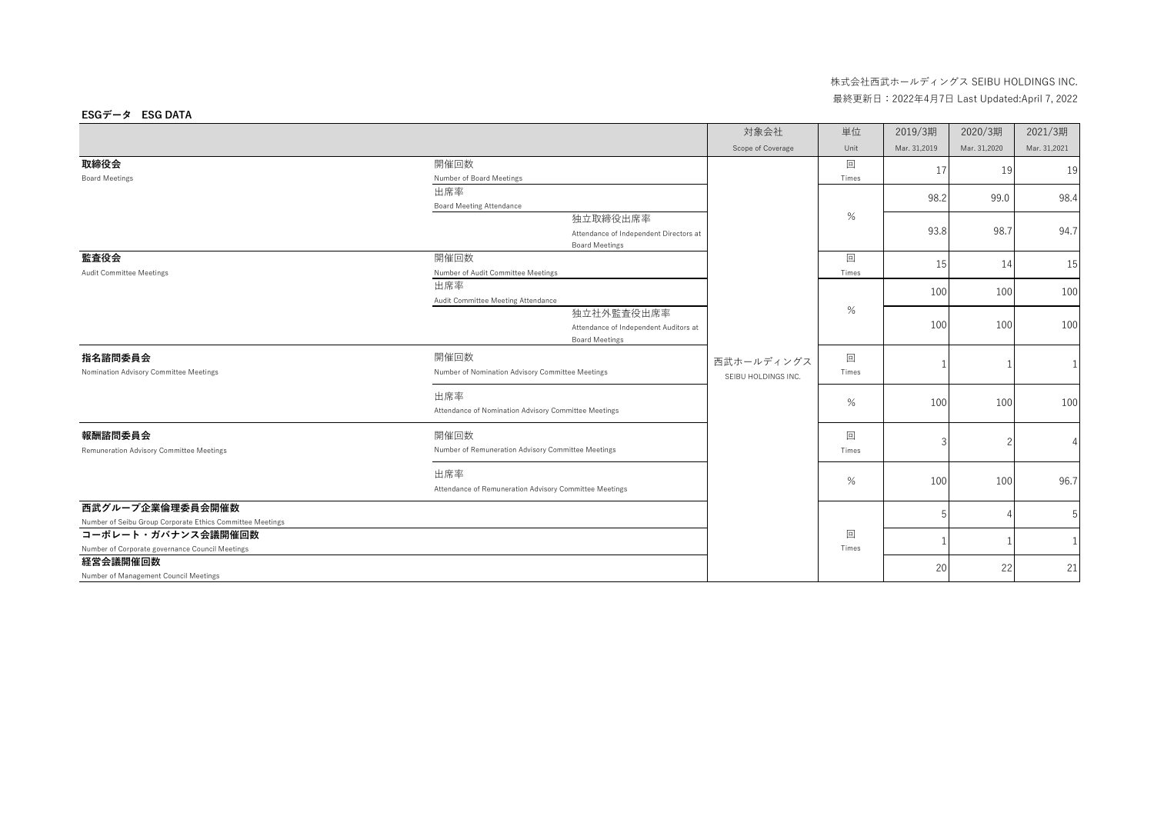|                                                           |                                                        | 対象会社                | 単位    | 2019/3期      | 2020/3期      | 2021/3期      |
|-----------------------------------------------------------|--------------------------------------------------------|---------------------|-------|--------------|--------------|--------------|
|                                                           |                                                        | Scope of Coverage   | Unit  | Mar. 31,2019 | Mar. 31,2020 | Mar. 31,2021 |
| 取締役会                                                      | 開催回数                                                   |                     | 回     | 17           | 19           | 19           |
| <b>Board Meetings</b>                                     | Number of Board Meetings                               |                     | Times |              |              |              |
|                                                           | 出席率                                                    |                     |       | 98.2         | 99.0         | 98.4         |
|                                                           | <b>Board Meeting Attendance</b>                        |                     |       |              |              |              |
|                                                           | 独立取締役出席率                                               |                     | %     |              |              |              |
|                                                           | Attendance of Independent Directors at                 |                     |       | 93.8         | 98.7         | 94.7         |
|                                                           | <b>Board Meetings</b>                                  |                     |       |              |              |              |
| 監査役会                                                      | 開催回数                                                   |                     | 回     | 15           | 14           | 15           |
| <b>Audit Committee Meetings</b>                           | Number of Audit Committee Meetings                     |                     | Times |              |              |              |
|                                                           | 出席率                                                    |                     | %     | 100          | 100          | 100          |
|                                                           | Audit Committee Meeting Attendance                     |                     |       |              |              |              |
|                                                           | 独立社外監査役出席率                                             |                     |       |              |              |              |
|                                                           | Attendance of Independent Auditors at                  |                     |       | 100          | 100          | 100          |
|                                                           | <b>Board Meetings</b>                                  |                     |       |              |              |              |
| 指名諮問委員会                                                   | 開催回数                                                   | 西武ホールディングス          | 回     |              |              |              |
| Nomination Advisory Committee Meetings                    | Number of Nomination Advisory Committee Meetings       | SEIBU HOLDINGS INC. | Times |              |              |              |
|                                                           |                                                        |                     |       |              |              |              |
|                                                           | 出席率                                                    |                     | $\%$  | 100          |              |              |
|                                                           | Attendance of Nomination Advisory Committee Meetings   |                     |       |              | 100          | 100          |
| 報酬諮問委員会                                                   | 開催回数                                                   |                     | 回     |              |              |              |
| Remuneration Advisory Committee Meetings                  | Number of Remuneration Advisory Committee Meetings     |                     | Times | 3            |              |              |
|                                                           |                                                        |                     |       |              |              |              |
|                                                           | 出席率                                                    |                     | $\%$  | 100          | 100          | 96.7         |
|                                                           | Attendance of Remuneration Advisory Committee Meetings |                     |       |              |              |              |
| 西武グループ企業倫理委員会開催数                                          |                                                        |                     |       | 5            |              | 5            |
| Number of Seibu Group Corporate Ethics Committee Meetings |                                                        |                     |       |              |              |              |
| コーポレート・ガバナンス会議開催回数                                        |                                                        |                     | 回     |              |              | $\mathbf{1}$ |
| Number of Corporate governance Council Meetings           |                                                        |                     | Times |              |              |              |
| 経営会議開催回数                                                  |                                                        |                     |       | 20           | 22           | 21           |
| Number of Management Council Meetings                     |                                                        |                     |       |              |              |              |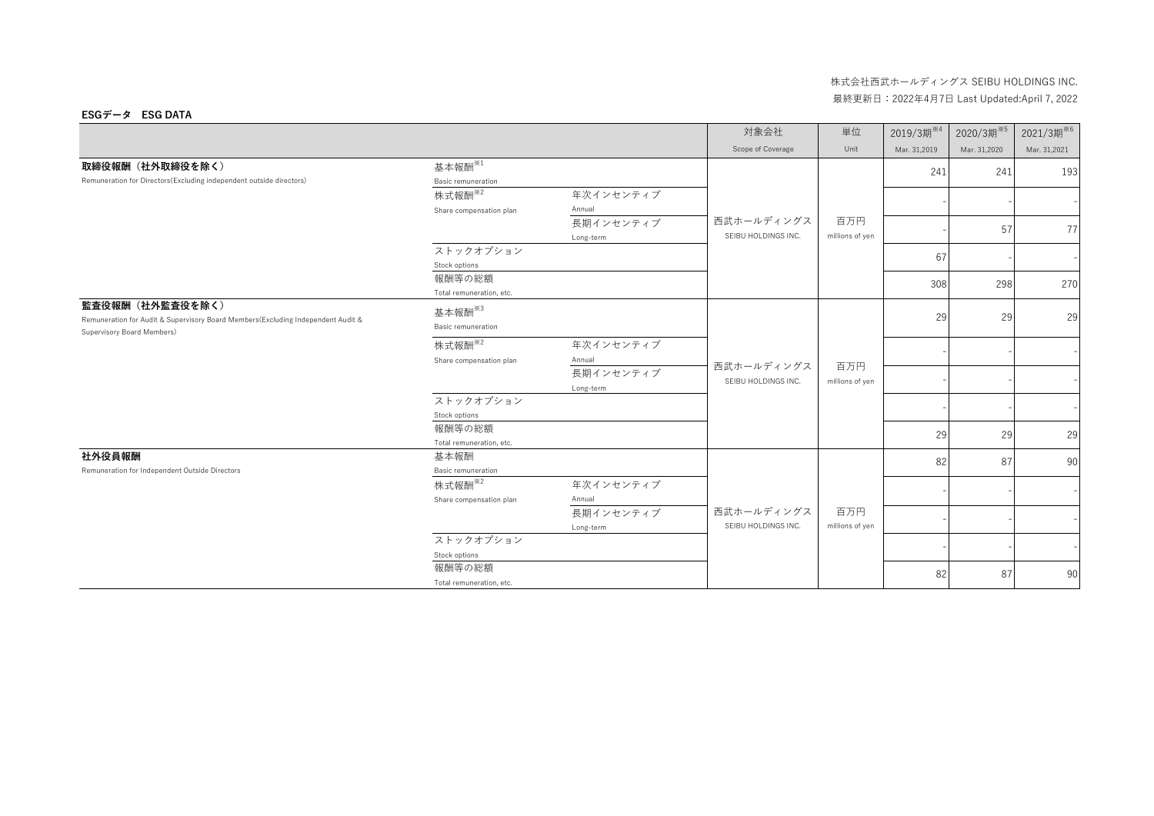|                                                                                          |                           |                     | 対象会社                              | 単位              | 2019/3期 <sup>※4</sup> | 2020/3期 <sup>※5</sup> | 2021/3期 <sup>※6</sup> |
|------------------------------------------------------------------------------------------|---------------------------|---------------------|-----------------------------------|-----------------|-----------------------|-----------------------|-----------------------|
|                                                                                          |                           |                     | Scope of Coverage                 | Unit            | Mar. 31,2019          | Mar. 31,2020          | Mar. 31,2021          |
| 取締役報酬 (社外取締役を除く)<br>Remuneration for Directors (Excluding independent outside directors) | 基本報酬 <sup>※1</sup>        |                     |                                   |                 | 241                   | 241                   | 193                   |
|                                                                                          | Basic remuneration        |                     |                                   |                 |                       |                       |                       |
|                                                                                          | 株式報酬 <sup>※2</sup>        | 年次インセンティブ           |                                   |                 |                       |                       |                       |
|                                                                                          | Share compensation plan   | Annual              |                                   |                 |                       |                       |                       |
|                                                                                          |                           | 長期インセンティブ           | 西武ホールディングス                        | 百万円             |                       | 57                    | 77                    |
|                                                                                          |                           | Long-term           | SEIBU HOLDINGS INC.               | millions of yen |                       |                       |                       |
|                                                                                          | ストックオプション                 |                     |                                   |                 | 67                    |                       |                       |
|                                                                                          | Stock options             |                     |                                   |                 |                       |                       |                       |
|                                                                                          | 報酬等の総額                    |                     |                                   |                 | 308                   | 298                   | 270                   |
|                                                                                          | Total remuneration, etc.  |                     |                                   |                 |                       |                       |                       |
| 監査役報酬 (社外監査役を除く)                                                                         | 基本報酬 <sup>※3</sup>        |                     | 西武ホールディングス<br>SEIBU HOLDINGS INC. |                 |                       |                       |                       |
| Remuneration for Audit & Supervisory Board Members (Excluding Independent Audit &        | <b>Basic remuneration</b> |                     |                                   |                 | 29                    | 29                    | 29                    |
| Supervisory Board Members)                                                               | 株式報酬 <sup>※2</sup>        | 年次インセンティブ           |                                   |                 |                       |                       |                       |
|                                                                                          |                           |                     |                                   |                 |                       |                       |                       |
|                                                                                          | Share compensation plan   | Annual<br>長期インセンティブ |                                   | 百万円             |                       |                       |                       |
|                                                                                          |                           |                     |                                   | millions of yen |                       |                       |                       |
|                                                                                          | ストックオプション                 | Long-term           |                                   |                 |                       |                       |                       |
|                                                                                          | Stock options             |                     |                                   |                 |                       |                       |                       |
|                                                                                          | 報酬等の総額                    |                     |                                   |                 |                       |                       |                       |
|                                                                                          | Total remuneration, etc.  |                     |                                   |                 | 29                    | 29                    | 29                    |
| 社外役員報酬                                                                                   | 基本報酬                      |                     |                                   |                 |                       |                       |                       |
| Remuneration for Independent Outside Directors                                           | <b>Basic remuneration</b> |                     |                                   |                 | 82                    | 87                    | 90                    |
|                                                                                          | 株式報酬 <sup>※2</sup>        | 年次インセンティブ           |                                   |                 |                       |                       |                       |
|                                                                                          | Share compensation plan   | Annual              |                                   |                 |                       |                       |                       |
|                                                                                          |                           | 長期インセンティブ           | 西武ホールディングス                        | 百万円             |                       |                       |                       |
|                                                                                          |                           | Long-term           | SEIBU HOLDINGS INC.               | millions of yen |                       |                       |                       |
|                                                                                          | ストックオプション                 |                     |                                   |                 |                       |                       |                       |
|                                                                                          | Stock options             |                     |                                   |                 |                       |                       |                       |
|                                                                                          | 報酬等の総額                    |                     |                                   |                 | 82                    | 87                    | 90                    |
|                                                                                          | Total remuneration, etc.  |                     |                                   |                 |                       |                       |                       |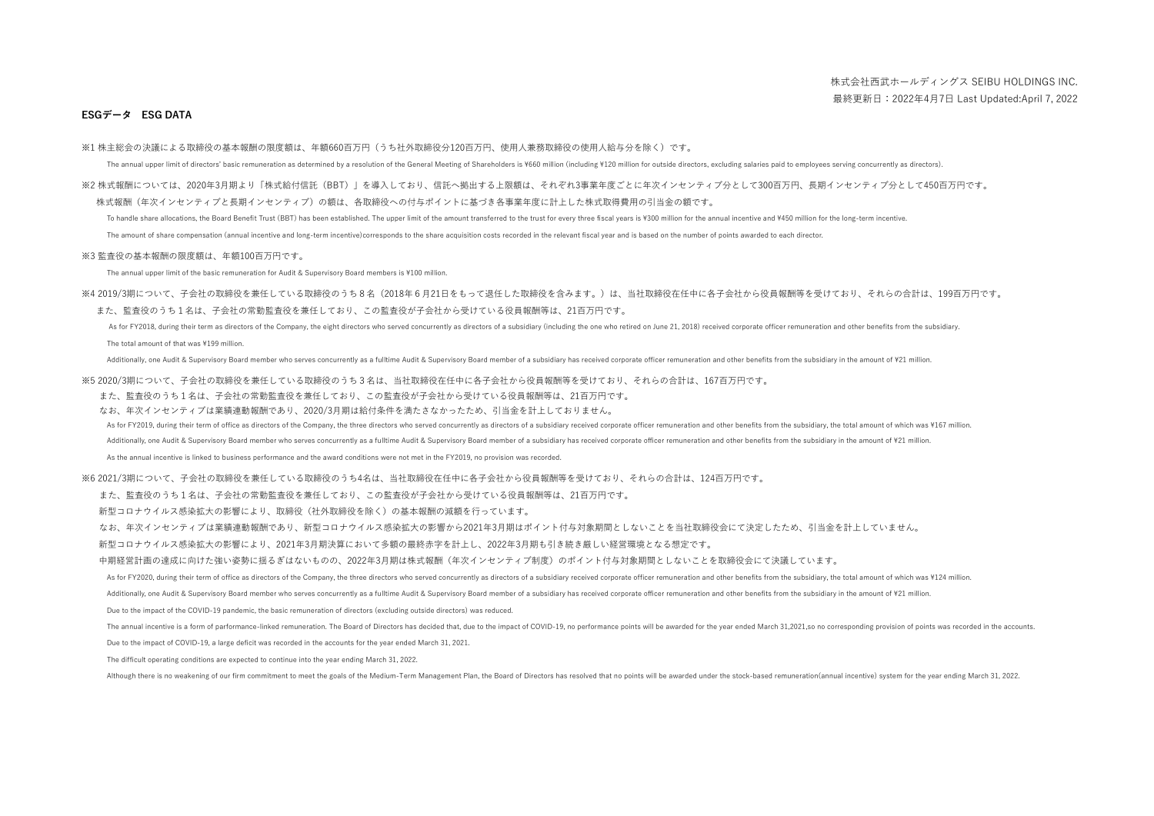※1 株主総会の決議による取締役の基本報酬の限度額は、年額660百万円(うち社外取締役分120百万円、使用人兼務取締役の使用人給与分を除く)です。

The annual upper limit of directors' basic remuneration as determined by a resolution of the General Meeting of Shareholders is ¥660 million (including ¥120 million for outside directors, excluding salaries paid to employe

※2 株式報酬については、2020年3月期より「株式給付信託(BBT)」を導入しており、信託へ拠出する上限額は、それぞれ3事業年度ごとに年次インセンティブ分として300百万円、長期インセンティブ分として450百万円です。 株式報酬(年次インセンティブと長期インセンティブ)の額は、各取締役への付与ポイントに基づき各事業年度に計上した株式取得費用の引当金の額です。

To handle share allocations the Board Benefit Trust (BRT) has been established. The unner limit of the amount transferred to the trust for every three fiscal years is ¥300 million for the annual incentive and ¥450 million The amount of share compensation (annual incentive and long-term incentive) corresponds to the share acquisition costs recorded in the relevant fiscal year and is based on the number of points awarded to each director.

※3 監査役の基本報酬の限度額は、年額100百万円です。

The annual upper limit of the basic remuneration for Audit & Supervisory Board members is ¥100 million.

※4 2019/3期について、子会社の取締役を兼任している取締役のうち8名(2018年6月21日をもって退任した取締役を含みます。)は、当社取締役在任中に各子会社から役員報酬等を受けており、それらの合計は、199百万円です。 また、監査役のうち1名は、子会社の常勤監査役を兼任しており、この監査役が子会社から受けている役員報酬等は、21百万円です。

As for FY2018, during their term as directors of the Company, the eight directors who served concurrently as directors of a subsidiary (including the one who retired on June 21, 2018) received corporate officer remuneratio The total amount of that was ¥199 million.

Additionally, one Audit & Supervisory Board member who serves concurrently as a fulltime Audit & Supervisory Board member of a subsidiary has received corporate officer remuneration and other benefits from the subsidiary i

※5 2020/3期について、子会社の取締役を兼任している取締役のうち3名は、当社取締役在任中に各子会社から役員報酬等を受けており、それらの合計は、167百万円です。

また、監査役のうち1名は、子会社の常勤監査役を兼任しており、この監査役が子会社から受けている役員報酬等は、21百万円です。

なお、年次インセンティブは業績連動報酬であり、2020/3月期は給付条件を満たさなかったため、引当金を計上しておりません。

As for FY2019, during their term of office as directors of the Company, the three directors who served concurrently as directors of a subsidiary received corporate officer remuneration and other benefits from the subsidiar

Additionally, one Audit & Supervisory Board member who serves concurrently as a fulltime Audit & Supervisory Board member of a subsidiary has received corporate officer remuneration and other benefits from the subsidiary i

As the annual incentive is linked to business performance and the award conditions were not met in the FY2019, no provision was recorded.

※6 2021/3期について、子会社の取締役を兼任している取締役のうち4名は、当社取締役在任中に各子会社から役員報酬等を受けており、それらの合計は、124百万円です。

また、監査役のうち1名は、子会社の常勤監査役を兼任しており、この監査役が子会社から受けている役員報酬等は、21百万円です。

新型コロナウイルス感染拡大の影響により、取締役(社外取締役を除く)の基本報酬の減額を行っています。

なお、年次インセンティブは業績連動報酬であり、新型コロナウイルス感染拡大の影響から2021年3月期はポイント付与対象期間としないことを当社取締役会にて決定したため、引当金を計上していません。

新型コロナウイルス感染拡大の影響により、2021年3月期決算において多額の最終赤字を計上し、2022年3月期も引き続き厳しい経営環境となる想定です。

中期経営計画の達成に向けた強い姿勢に揺るぎはないものの、2022年3月期は株式報酬(年次インセンティブ制度)のポイント付与対象期間としないことを取締役会にて決議しています。

As for FY2020, during their term of office as directors of the Company, the three directors who served concurrently as directors of a subsidiary received corporate officer remuneration and other benefits from the subsidiar

Additionally, one Audit & Supervisory Board member who serves concurrently as a fulltime Audit & Supervisory Board member of a subsidiary has received corporate officer remuneration and other benefits from the subsidiary i

Due to the impact of the COVID-19 pandemic, the basic remuneration of directors (excluding outside directors) was reduced.

The annual incentive is a form of parformance-linked remuneration. The Board of Directors has decided that, due to the impact of COVID-19, no performance points will be awarded for the year ended March 31,2021,so no corres

Due to the impact of COVID-19, a large deficit was recorded in the accounts for the year ended March 31, 2021.

The difficult operating conditions are expected to continue into the year ending March 31, 2022.

Although there is no weakening of our firm commitment to meet the goals of the Medium-Term Management Plan, the Board of Directors has resolved that no points will be awarded under the stock-based remuneration(annual incen